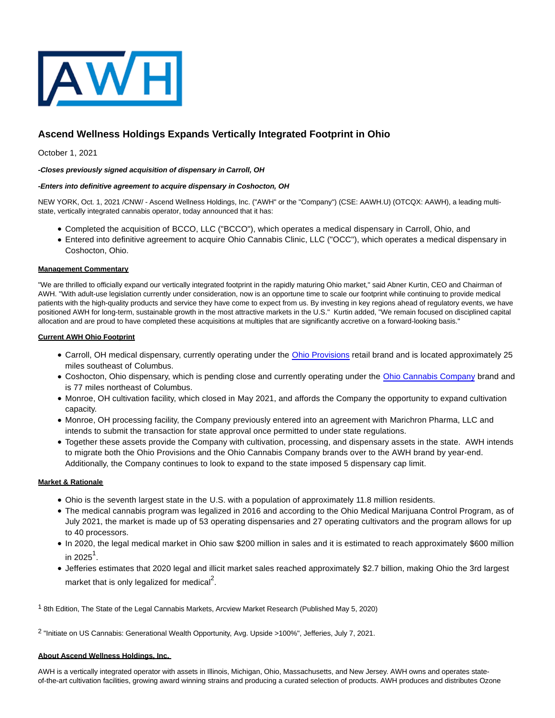

# **Ascend Wellness Holdings Expands Vertically Integrated Footprint in Ohio**

October 1, 2021

## **-Closes previously signed acquisition of dispensary in Carroll, OH**

## **-Enters into definitive agreement to acquire dispensary in Coshocton, OH**

NEW YORK, Oct. 1, 2021 /CNW/ - Ascend Wellness Holdings, Inc. ("AWH" or the "Company") (CSE: AAWH.U) (OTCQX: AAWH), a leading multistate, vertically integrated cannabis operator, today announced that it has:

- Completed the acquisition of BCCO, LLC ("BCCO"), which operates a medical dispensary in Carroll, Ohio, and
- Entered into definitive agreement to acquire Ohio Cannabis Clinic, LLC ("OCC"), which operates a medical dispensary in Coshocton, Ohio.

### **Management Commentary**

"We are thrilled to officially expand our vertically integrated footprint in the rapidly maturing Ohio market," said Abner Kurtin, CEO and Chairman of AWH. "With adult-use legislation currently under consideration, now is an opportune time to scale our footprint while continuing to provide medical patients with the high-quality products and service they have come to expect from us. By investing in key regions ahead of regulatory events, we have positioned AWH for long-term, sustainable growth in the most attractive markets in the U.S." Kurtin added, "We remain focused on disciplined capital allocation and are proud to have completed these acquisitions at multiples that are significantly accretive on a forward-looking basis."

## **Current AWH Ohio Footprint**

- Carroll, OH medical dispensary, currently operating under the [Ohio Provisions r](https://c212.net/c/link/?t=0&l=en&o=3309790-1&h=4159008675&u=https%3A%2F%2Fohioprovisions.com%2F&a=Ohio+Provisions)etail brand and is located approximately 25 miles southeast of Columbus.
- Coshocton, Ohio dispensary, which is pending close and currently operating under the [Ohio Cannabis Company b](https://c212.net/c/link/?t=0&l=en&o=3309790-1&h=656404196&u=http%3A%2F%2Fwww.occdispensary.com%2Focc%2F&a=Ohio+Cannabis+Company)rand and is 77 miles northeast of Columbus.
- Monroe, OH cultivation facility, which closed in May 2021, and affords the Company the opportunity to expand cultivation capacity.
- Monroe, OH processing facility, the Company previously entered into an agreement with Marichron Pharma, LLC and intends to submit the transaction for state approval once permitted to under state regulations.
- Together these assets provide the Company with cultivation, processing, and dispensary assets in the state. AWH intends to migrate both the Ohio Provisions and the Ohio Cannabis Company brands over to the AWH brand by year-end. Additionally, the Company continues to look to expand to the state imposed 5 dispensary cap limit.

# **Market & Rationale**

- Ohio is the seventh largest state in the U.S. with a population of approximately 11.8 million residents.
- The medical cannabis program was legalized in 2016 and according to the Ohio Medical Marijuana Control Program, as of July 2021, the market is made up of 53 operating dispensaries and 27 operating cultivators and the program allows for up to 40 processors.
- In 2020, the legal medical market in Ohio saw \$200 million in sales and it is estimated to reach approximately \$600 million in 2025<sup>1</sup>.
- Jefferies estimates that 2020 legal and illicit market sales reached approximately \$2.7 billion, making Ohio the 3rd largest market that is only legalized for medical<sup>2</sup>.

1 8th Edition, The State of the Legal Cannabis Markets, Arcview Market Research (Published May 5, 2020)

2 "Initiate on US Cannabis: Generational Wealth Opportunity, Avg. Upside >100%", Jefferies, July 7, 2021.

#### **About Ascend Wellness Holdings, Inc.**

AWH is a vertically integrated operator with assets in Illinois, Michigan, Ohio, Massachusetts, and New Jersey. AWH owns and operates stateof-the-art cultivation facilities, growing award winning strains and producing a curated selection of products. AWH produces and distributes Ozone